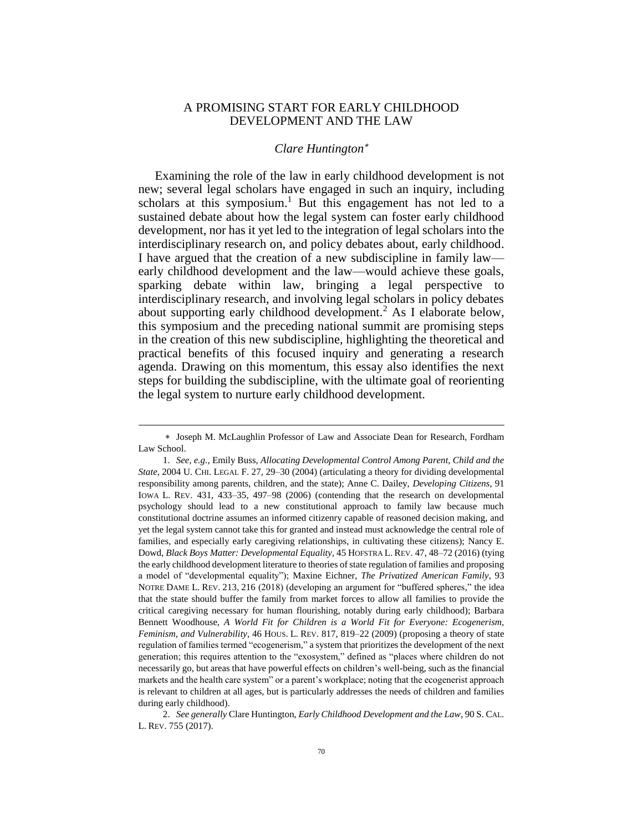## A PROMISING START FOR EARLY CHILDHOOD DEVELOPMENT AND THE LAW

## <span id="page-0-0"></span>*Clare Huntington*

Examining the role of the law in early childhood development is not new; several legal scholars have engaged in such an inquiry, including scholars at this symposium.<sup>1</sup> But this engagement has not led to a sustained debate about how the legal system can foster early childhood development, nor has it yet led to the integration of legal scholars into the interdisciplinary research on, and policy debates about, early childhood. I have argued that the creation of a new subdiscipline in family law early childhood development and the law—would achieve these goals, sparking debate within law, bringing a legal perspective to interdisciplinary research, and involving legal scholars in policy debates about supporting early childhood development.<sup>2</sup> As I elaborate below, this symposium and the preceding national summit are promising steps in the creation of this new subdiscipline, highlighting the theoretical and practical benefits of this focused inquiry and generating a research agenda. Drawing on this momentum, this essay also identifies the next steps for building the subdiscipline, with the ultimate goal of reorienting the legal system to nurture early childhood development.

Joseph M. McLaughlin Professor of Law and Associate Dean for Research, Fordham Law School.

<sup>1.</sup> *See, e.g.*, Emily Buss, *Allocating Developmental Control Among Parent, Child and the State*, 2004 U. CHI. LEGAL F. 27, 29–30 (2004) (articulating a theory for dividing developmental responsibility among parents, children, and the state); Anne C. Dailey, *Developing Citizens*, 91 IOWA L. REV. 431, 433–35, 497–98 (2006) (contending that the research on developmental psychology should lead to a new constitutional approach to family law because much constitutional doctrine assumes an informed citizenry capable of reasoned decision making, and yet the legal system cannot take this for granted and instead must acknowledge the central role of families, and especially early caregiving relationships, in cultivating these citizens); Nancy E. Dowd, *Black Boys Matter: Developmental Equality*, 45 HOFSTRA L. REV. 47, 48–72 (2016) (tying the early childhood development literature to theories of state regulation of families and proposing a model of "developmental equality"); Maxine Eichner, *The Privatized American Family*, 93 NOTRE DAME L. REV. 213, 216 (2018) (developing an argument for "buffered spheres," the idea that the state should buffer the family from market forces to allow all families to provide the critical caregiving necessary for human flourishing, notably during early childhood); Barbara Bennett Woodhouse, *A World Fit for Children is a World Fit for Everyone: Ecogenerism, Feminism, and Vulnerability*, 46 HOUS. L. REV. 817, 819–22 (2009) (proposing a theory of state regulation of families termed "ecogenerism," a system that prioritizes the development of the next generation; this requires attention to the "exosystem," defined as "places where children do not necessarily go, but areas that have powerful effects on children's well-being, such as the financial markets and the health care system" or a parent's workplace; noting that the ecogenerist approach is relevant to children at all ages, but is particularly addresses the needs of children and families during early childhood).

<sup>2.</sup> *See generally* Clare Huntington, *Early Childhood Development and the Law*, 90 S. CAL. L. REV. 755 (2017).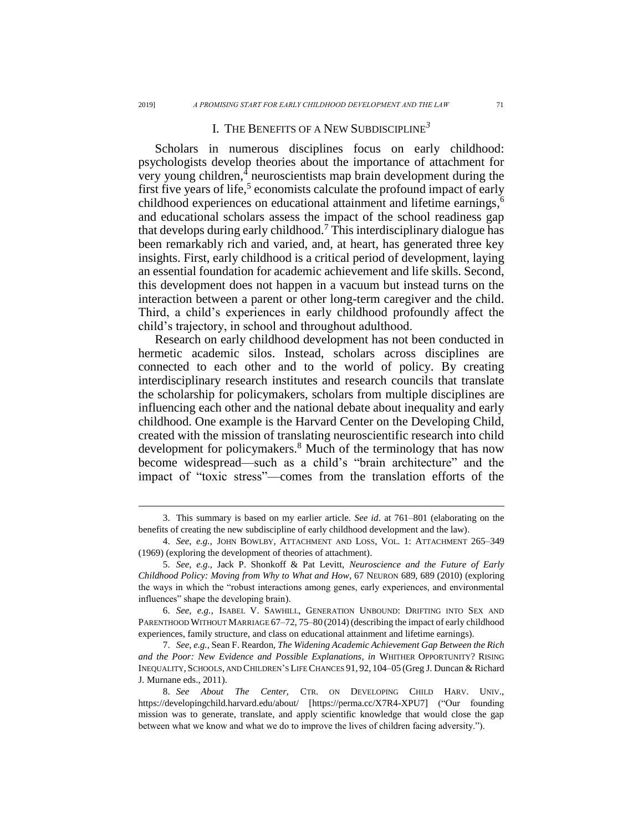## I. THE BENEFITS OF A NEW SUBDISCIPLINE*<sup>3</sup>*

Scholars in numerous disciplines focus on early childhood: psychologists develop theories about the importance of attachment for very young children, $\frac{4}{3}$  neuroscientists map brain development during the first five years of life,<sup>5</sup> economists calculate the profound impact of early childhood experiences on educational attainment and lifetime earnings, 6 and educational scholars assess the impact of the school readiness gap that develops during early childhood.<sup>7</sup> This interdisciplinary dialogue has been remarkably rich and varied, and, at heart, has generated three key insights. First, early childhood is a critical period of development, laying an essential foundation for academic achievement and life skills. Second, this development does not happen in a vacuum but instead turns on the interaction between a parent or other long-term caregiver and the child. Third, a child's experiences in early childhood profoundly affect the child's trajectory, in school and throughout adulthood.

Research on early childhood development has not been conducted in hermetic academic silos. Instead, scholars across disciplines are connected to each other and to the world of policy. By creating interdisciplinary research institutes and research councils that translate the scholarship for policymakers, scholars from multiple disciplines are influencing each other and the national debate about inequality and early childhood. One example is the Harvard Center on the Developing Child, created with the mission of translating neuroscientific research into child development for policymakers.<sup>8</sup> Much of the terminology that has now become widespread—such as a child's "brain architecture" and the impact of "toxic stress"—comes from the translation efforts of the

<sup>3.</sup> This summary is based on my earlier article. *See id*. at 761–801 (elaborating on the benefits of creating the new subdiscipline of early childhood development and the law).

<sup>4.</sup> *See*, *e.g.*, JOHN BOWLBY, ATTACHMENT AND LOSS, VOL. 1: ATTACHMENT 265–349 (1969) (exploring the development of theories of attachment).

<sup>5.</sup> *See*, *e.g.*, Jack P. Shonkoff & Pat Levitt, *Neuroscience and the Future of Early Childhood Policy: Moving from Why to What and How*, 67 NEURON 689, 689 (2010) (exploring the ways in which the "robust interactions among genes, early experiences, and environmental influences" shape the developing brain).

<sup>6.</sup> *See, e.g.*, ISABEL V. SAWHILL, GENERATION UNBOUND: DRIFTING INTO SEX AND PARENTHOOD WITHOUT MARRIAGE 67-72, 75-80 (2014) (describing the impact of early childhood experiences, family structure, and class on educational attainment and lifetime earnings).

<sup>7.</sup> *See*, *e.g.*, Sean F. Reardon, *The Widening Academic Achievement Gap Between the Rich and the Poor: New Evidence and Possible Explanations*, *in* WHITHER OPPORTUNITY? RISING INEQUALITY, SCHOOLS, AND CHILDREN'S LIFE CHANCES 91, 92, 104–05 (Greg J. Duncan & Richard J. Murnane eds., 2011).

<sup>8.</sup> *See About The Center*, CTR. ON DEVELOPING CHILD HARV. UNIV., <https://developingchild.harvard.edu/about/> [https://perma.cc/X7R4-XPU7] ("Our founding mission was to generate, translate, and apply scientific knowledge that would close the gap between what we know and what we do to improve the lives of children facing adversity.").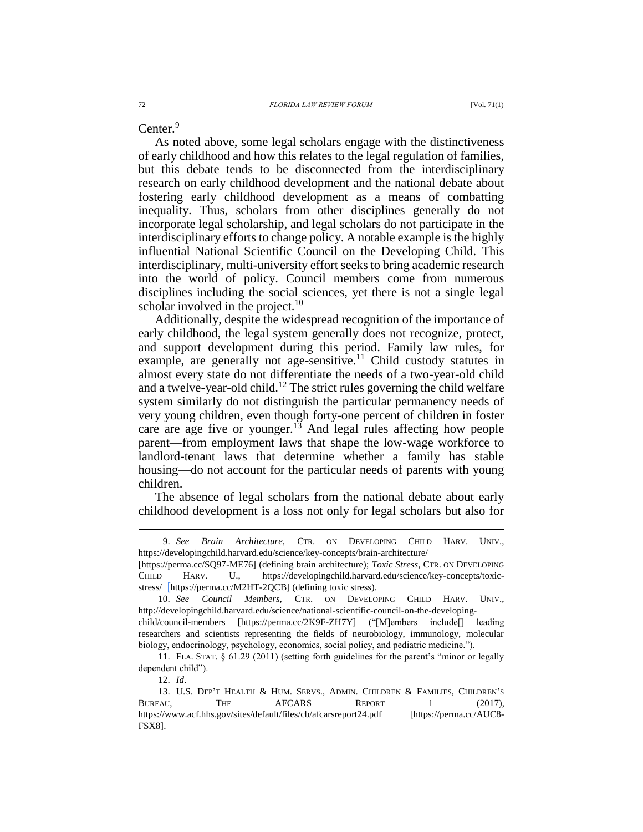Center.<sup>9</sup>

As noted above, some legal scholars engage with the distinctiveness of early childhood and how this relates to the legal regulation of families, but this debate tends to be disconnected from the interdisciplinary research on early childhood development and the national debate about fostering early childhood development as a means of combatting inequality. Thus, scholars from other disciplines generally do not incorporate legal scholarship, and legal scholars do not participate in the interdisciplinary efforts to change policy. A notable example is the highly influential National Scientific Council on the Developing Child. This interdisciplinary, multi-university effort seeks to bring academic research into the world of policy. Council members come from numerous disciplines including the social sciences, yet there is not a single legal scholar involved in the project.<sup>10</sup>

Additionally, despite the widespread recognition of the importance of early childhood, the legal system generally does not recognize, protect, and support development during this period. Family law rules, for example, are generally not age-sensitive.<sup>11</sup> Child custody statutes in almost every state do not differentiate the needs of a two-year-old child and a twelve-year-old child.<sup>12</sup> The strict rules governing the child welfare system similarly do not distinguish the particular permanency needs of very young children, even though forty-one percent of children in foster care are age five or younger.<sup>13</sup> And legal rules affecting how people parent—from employment laws that shape the low-wage workforce to landlord-tenant laws that determine whether a family has stable housing—do not account for the particular needs of parents with young children.

The absence of legal scholars from the national debate about early childhood development is a loss not only for legal scholars but also for

<sup>9.</sup> *See Brain Architecture*, CTR. ON DEVELOPING CHILD HARV. UNIV., https://developingchild.harvard.edu/science/key-concepts/brain-architecture/

<sup>[</sup>https://perma.cc/SQ97-ME76] (defining brain architecture); *Toxic Stress*, CTR. ON DEVELOPING CHILD HARV. U., [https://developingchild.harvard.edu/science/key-concepts/toxic](https://developingchild.harvard.edu/science/key-concepts/toxic-stress/)[stress/](https://developingchild.harvard.edu/science/key-concepts/toxic-stress/) [https://perma.cc/M2HT-2QCB] (defining toxic stress).

<sup>10.</sup> *See Council Members*, CTR. ON DEVELOPING CHILD HARV. UNIV., [http://developingchild.harvard.edu/science/national-scientific-council-on-the-developing-](http://developingchild.harvard.edu/science/national-scientific-council-on-the-developing-child/council-members)

[child/council-members](http://developingchild.harvard.edu/science/national-scientific-council-on-the-developing-child/council-members) [https://perma.cc/2K9F-ZH7Y] ("[M]embers include[] leading researchers and scientists representing the fields of neurobiology, immunology, molecular biology, endocrinology, psychology, economics, social policy, and pediatric medicine.").

<sup>11.</sup> FLA. STAT. § 61.29 (2011) (setting forth guidelines for the parent's "minor or legally dependent child").

<sup>12.</sup> *Id*.

<sup>13.</sup> U.S. DEP'T HEALTH & HUM. SERVS., ADMIN. CHILDREN & FAMILIES, CHILDREN'S BUREAU, THE AFCARS REPORT 1 (2017), <https://www.acf.hhs.gov/sites/default/files/cb/afcarsreport24.pdf> [https://perma.cc/AUC8- FSX8].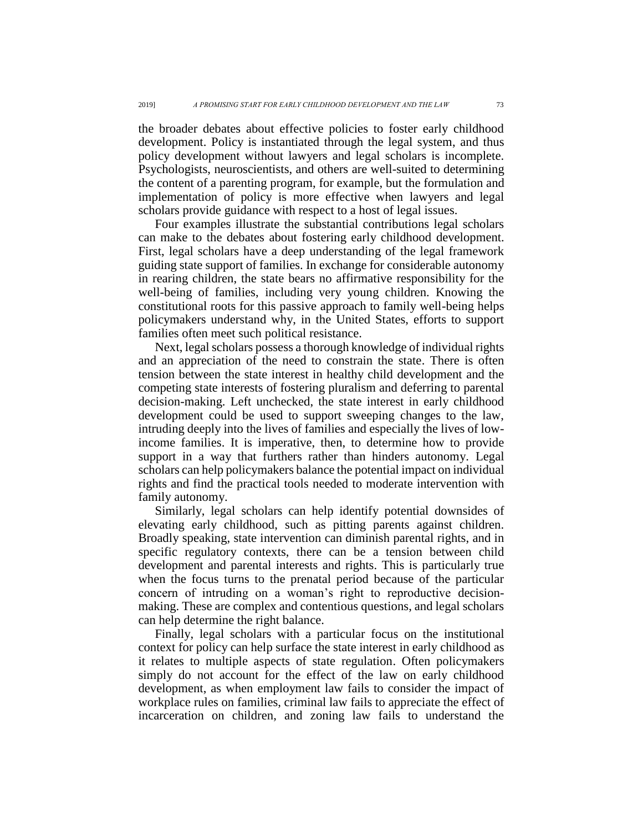the broader debates about effective policies to foster early childhood development. Policy is instantiated through the legal system, and thus policy development without lawyers and legal scholars is incomplete. Psychologists, neuroscientists, and others are well-suited to determining the content of a parenting program, for example, but the formulation and implementation of policy is more effective when lawyers and legal scholars provide guidance with respect to a host of legal issues.

Four examples illustrate the substantial contributions legal scholars can make to the debates about fostering early childhood development. First, legal scholars have a deep understanding of the legal framework guiding state support of families. In exchange for considerable autonomy in rearing children, the state bears no affirmative responsibility for the well-being of families, including very young children. Knowing the constitutional roots for this passive approach to family well-being helps policymakers understand why, in the United States, efforts to support families often meet such political resistance.

Next, legal scholars possess a thorough knowledge of individual rights and an appreciation of the need to constrain the state. There is often tension between the state interest in healthy child development and the competing state interests of fostering pluralism and deferring to parental decision-making. Left unchecked, the state interest in early childhood development could be used to support sweeping changes to the law, intruding deeply into the lives of families and especially the lives of lowincome families. It is imperative, then, to determine how to provide support in a way that furthers rather than hinders autonomy. Legal scholars can help policymakers balance the potential impact on individual rights and find the practical tools needed to moderate intervention with family autonomy.

Similarly, legal scholars can help identify potential downsides of elevating early childhood, such as pitting parents against children. Broadly speaking, state intervention can diminish parental rights, and in specific regulatory contexts, there can be a tension between child development and parental interests and rights. This is particularly true when the focus turns to the prenatal period because of the particular concern of intruding on a woman's right to reproductive decisionmaking. These are complex and contentious questions, and legal scholars can help determine the right balance.

Finally, legal scholars with a particular focus on the institutional context for policy can help surface the state interest in early childhood as it relates to multiple aspects of state regulation. Often policymakers simply do not account for the effect of the law on early childhood development, as when employment law fails to consider the impact of workplace rules on families, criminal law fails to appreciate the effect of incarceration on children, and zoning law fails to understand the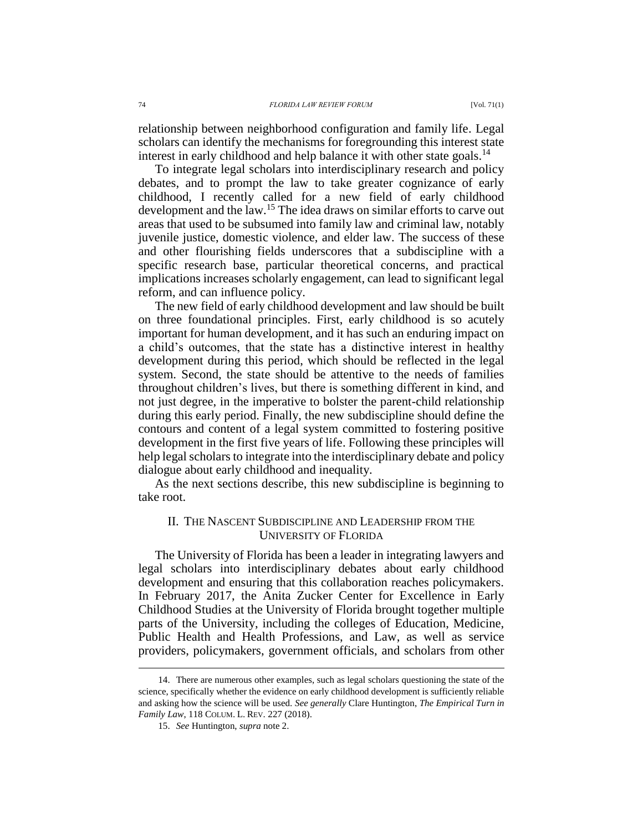relationship between neighborhood configuration and family life. Legal scholars can identify the mechanisms for foregrounding this interest state interest in early childhood and help balance it with other state goals.<sup>14</sup>

To integrate legal scholars into interdisciplinary research and policy debates, and to prompt the law to take greater cognizance of early childhood, I recently called for a new field of early childhood development and the law. <sup>15</sup> The idea draws on similar efforts to carve out areas that used to be subsumed into family law and criminal law, notably juvenile justice, domestic violence, and elder law. The success of these and other flourishing fields underscores that a subdiscipline with a specific research base, particular theoretical concerns, and practical implications increases scholarly engagement, can lead to significant legal reform, and can influence policy.

The new field of early childhood development and law should be built on three foundational principles. First, early childhood is so acutely important for human development, and it has such an enduring impact on a child's outcomes, that the state has a distinctive interest in healthy development during this period, which should be reflected in the legal system. Second, the state should be attentive to the needs of families throughout children's lives, but there is something different in kind, and not just degree, in the imperative to bolster the parent-child relationship during this early period. Finally, the new subdiscipline should define the contours and content of a legal system committed to fostering positive development in the first five years of life. Following these principles will help legal scholars to integrate into the interdisciplinary debate and policy dialogue about early childhood and inequality.

As the next sections describe, this new subdiscipline is beginning to take root.

## II. THE NASCENT SUBDISCIPLINE AND LEADERSHIP FROM THE UNIVERSITY OF FLORIDA

The University of Florida has been a leader in integrating lawyers and legal scholars into interdisciplinary debates about early childhood development and ensuring that this collaboration reaches policymakers. In February 2017, the Anita Zucker Center for Excellence in Early Childhood Studies at the University of Florida brought together multiple parts of the University, including the colleges of Education, Medicine, Public Health and Health Professions, and Law, as well as service providers, policymakers, government officials, and scholars from other

<sup>14.</sup> There are numerous other examples, such as legal scholars questioning the state of the science, specifically whether the evidence on early childhood development is sufficiently reliable and asking how the science will be used. *See generally* Clare Huntington, *The Empirical Turn in Family Law*, 118 COLUM. L. REV. 227 (2018).

<sup>15.</sup> *See* Huntington, *supra* not[e 2.](#page-0-0)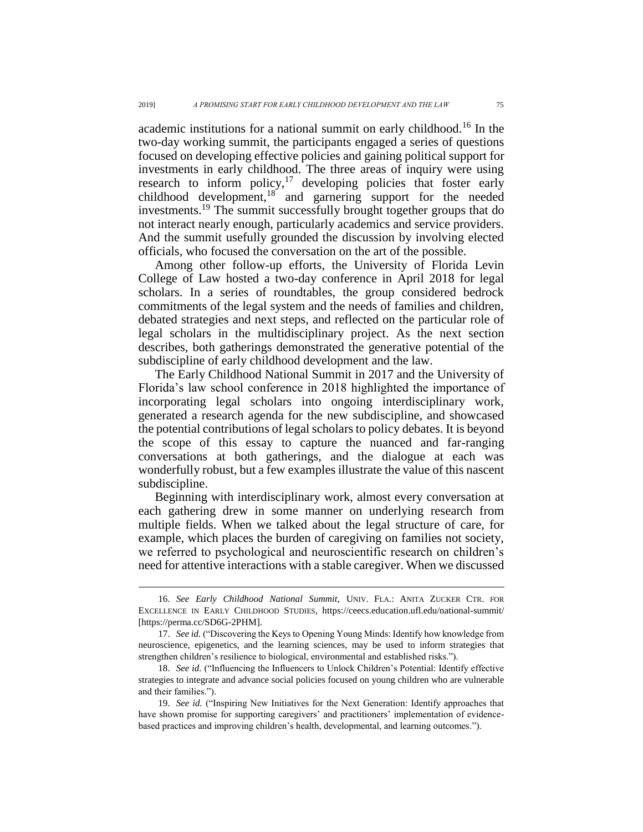academic institutions for a national summit on early childhood.<sup>16</sup> In the two-day working summit, the participants engaged a series of questions focused on developing effective policies and gaining political support for investments in early childhood. The three areas of inquiry were using research to inform policy,<sup>17</sup> developing policies that foster early childhood development, $18$  and garnering support for the needed investments.<sup>19</sup> The summit successfully brought together groups that do not interact nearly enough, particularly academics and service providers. And the summit usefully grounded the discussion by involving elected officials, who focused the conversation on the art of the possible.

Among other follow-up efforts, the University of Florida Levin College of Law hosted a two-day conference in April 2018 for legal scholars. In a series of roundtables, the group considered bedrock commitments of the legal system and the needs of families and children, debated strategies and next steps, and reflected on the particular role of legal scholars in the multidisciplinary project. As the next section describes, both gatherings demonstrated the generative potential of the subdiscipline of early childhood development and the law.

The Early Childhood National Summit in 2017 and the University of Florida's law school conference in 2018 highlighted the importance of incorporating legal scholars into ongoing interdisciplinary work, generated a research agenda for the new subdiscipline, and showcased the potential contributions of legal scholars to policy debates. It is beyond the scope of this essay to capture the nuanced and far-ranging conversations at both gatherings, and the dialogue at each was wonderfully robust, but a few examples illustrate the value of this nascent subdiscipline.

Beginning with interdisciplinary work, almost every conversation at each gathering drew in some manner on underlying research from multiple fields. When we talked about the legal structure of care, for example, which places the burden of caregiving on families not society, we referred to psychological and neuroscientific research on children's need for attentive interactions with a stable caregiver. When we discussed

<sup>16.</sup> *See Early Childhood National Summit*, UNIV. FLA.: ANITA ZUCKER CTR. FOR EXCELLENCE IN EARLY CHILDHOOD STUDIES, https://ceecs.education.ufl.edu/national-summit/ [https://perma.cc/SD6G-2PHM].

<sup>17.</sup> *See id.* ("Discovering the Keys to Opening Young Minds: Identify how knowledge from neuroscience, epigenetics, and the learning sciences, may be used to inform strategies that strengthen children's resilience to biological, environmental and established risks.").

<sup>18.</sup> *See id.* ("Influencing the Influencers to Unlock Children's Potential: Identify effective strategies to integrate and advance social policies focused on young children who are vulnerable and their families.").

<sup>19.</sup> *See id.* ("Inspiring New Initiatives for the Next Generation: Identify approaches that have shown promise for supporting caregivers' and practitioners' implementation of evidencebased practices and improving children's health, developmental, and learning outcomes.").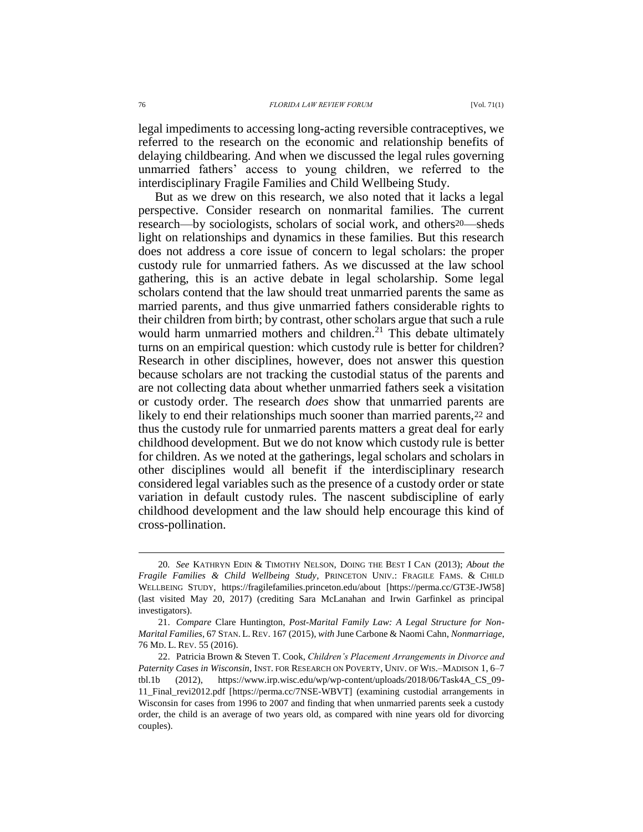legal impediments to accessing long-acting reversible contraceptives, we referred to the research on the economic and relationship benefits of delaying childbearing. And when we discussed the legal rules governing unmarried fathers' access to young children, we referred to the interdisciplinary Fragile Families and Child Wellbeing Study.

But as we drew on this research, we also noted that it lacks a legal perspective. Consider research on nonmarital families. The current research—by sociologists, scholars of social work, and others20—sheds light on relationships and dynamics in these families. But this research does not address a core issue of concern to legal scholars: the proper custody rule for unmarried fathers. As we discussed at the law school gathering, this is an active debate in legal scholarship. Some legal scholars contend that the law should treat unmarried parents the same as married parents, and thus give unmarried fathers considerable rights to their children from birth; by contrast, other scholars argue that such a rule would harm unmarried mothers and children.<sup>21</sup> This debate ultimately turns on an empirical question: which custody rule is better for children? Research in other disciplines, however, does not answer this question because scholars are not tracking the custodial status of the parents and are not collecting data about whether unmarried fathers seek a visitation or custody order. The research *does* show that unmarried parents are likely to end their relationships much sooner than married parents,  $22$  and thus the custody rule for unmarried parents matters a great deal for early childhood development. But we do not know which custody rule is better for children. As we noted at the gatherings, legal scholars and scholars in other disciplines would all benefit if the interdisciplinary research considered legal variables such as the presence of a custody order or state variation in default custody rules. The nascent subdiscipline of early childhood development and the law should help encourage this kind of cross-pollination.

<sup>20</sup>*. See* KATHRYN EDIN & TIMOTHY NELSON, DOING THE BEST I CAN (2013); *About the Fragile Families & Child Wellbeing Study*, PRINCETON UNIV.: FRAGILE FAMS. & CHILD WELLBEING STUDY, https://fragilefamilies.princeton.edu/about [https://perma.cc/GT3E-JW58] (last visited May 20, 2017) (crediting Sara McLanahan and Irwin Garfinkel as principal investigators).

<sup>21.</sup> *Compare* Clare Huntington, *Post-Marital Family Law: A Legal Structure for Non-Marital Families*, 67 STAN. L. REV. 167 (2015), *with* June Carbone & Naomi Cahn, *Nonmarriage*, 76 MD. L. REV. 55 (2016).

<sup>22.</sup> Patricia Brown & Steven T. Cook, *Children's Placement Arrangements in Divorce and Paternity Cases in Wisconsin*, INST. FOR RESEARCH ON POVERTY, UNIV. OF WIS.–MADISON 1, 6–7 tbl.1b (2012), https://www.irp.wisc.edu/wp/wp-content/uploads/2018/06/Task4A\_CS\_09- 11\_Final\_revi2012.pdf [https://perma.cc/7NSE-WBVT] (examining custodial arrangements in Wisconsin for cases from 1996 to 2007 and finding that when unmarried parents seek a custody order, the child is an average of two years old, as compared with nine years old for divorcing couples).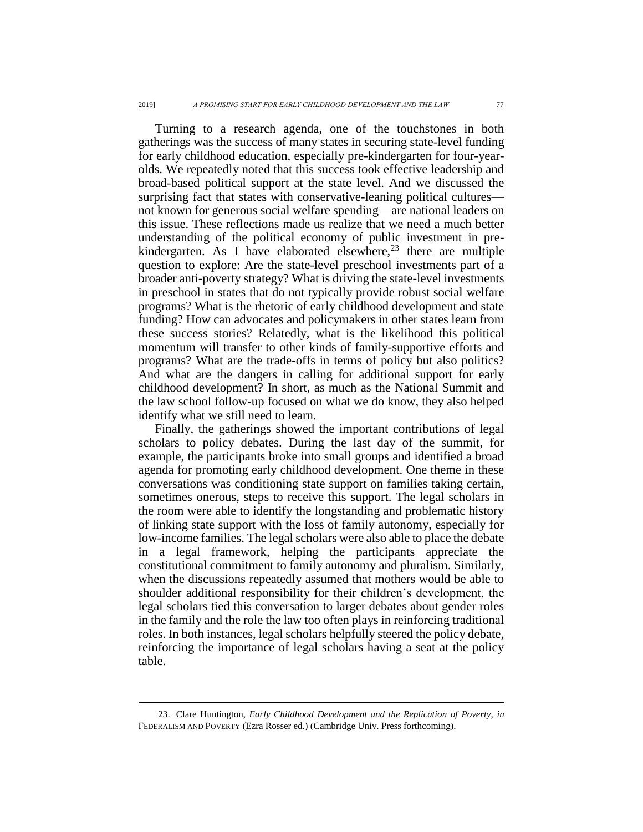Turning to a research agenda, one of the touchstones in both gatherings was the success of many states in securing state-level funding for early childhood education, especially pre-kindergarten for four-yearolds. We repeatedly noted that this success took effective leadership and broad-based political support at the state level. And we discussed the surprising fact that states with conservative-leaning political cultures not known for generous social welfare spending—are national leaders on this issue. These reflections made us realize that we need a much better understanding of the political economy of public investment in prekindergarten. As I have elaborated elsewhere, $23$  there are multiple question to explore: Are the state-level preschool investments part of a broader anti-poverty strategy? What is driving the state-level investments in preschool in states that do not typically provide robust social welfare programs? What is the rhetoric of early childhood development and state funding? How can advocates and policymakers in other states learn from these success stories? Relatedly, what is the likelihood this political momentum will transfer to other kinds of family-supportive efforts and programs? What are the trade-offs in terms of policy but also politics? And what are the dangers in calling for additional support for early childhood development? In short, as much as the National Summit and the law school follow-up focused on what we do know, they also helped identify what we still need to learn.

Finally, the gatherings showed the important contributions of legal scholars to policy debates. During the last day of the summit, for example, the participants broke into small groups and identified a broad agenda for promoting early childhood development. One theme in these conversations was conditioning state support on families taking certain, sometimes onerous, steps to receive this support. The legal scholars in the room were able to identify the longstanding and problematic history of linking state support with the loss of family autonomy, especially for low-income families. The legal scholars were also able to place the debate in a legal framework, helping the participants appreciate the constitutional commitment to family autonomy and pluralism. Similarly, when the discussions repeatedly assumed that mothers would be able to shoulder additional responsibility for their children's development, the legal scholars tied this conversation to larger debates about gender roles in the family and the role the law too often plays in reinforcing traditional roles. In both instances, legal scholars helpfully steered the policy debate, reinforcing the importance of legal scholars having a seat at the policy table.

<sup>23.</sup> Clare Huntington, *Early Childhood Development and the Replication of Poverty*, *in* FEDERALISM AND POVERTY (Ezra Rosser ed.) (Cambridge Univ. Press forthcoming).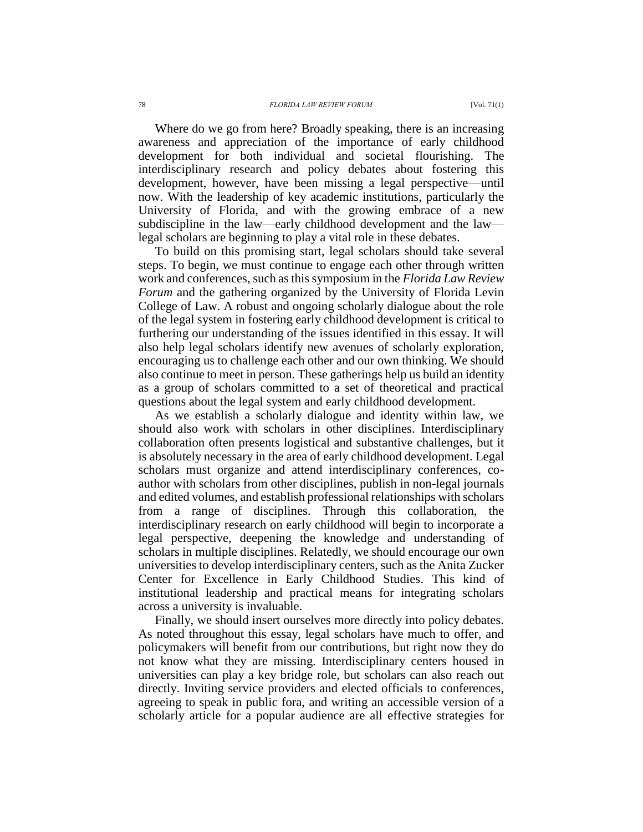Where do we go from here? Broadly speaking, there is an increasing awareness and appreciation of the importance of early childhood development for both individual and societal flourishing. The interdisciplinary research and policy debates about fostering this development, however, have been missing a legal perspective—until now. With the leadership of key academic institutions, particularly the University of Florida, and with the growing embrace of a new subdiscipline in the law—early childhood development and the law legal scholars are beginning to play a vital role in these debates.

To build on this promising start, legal scholars should take several steps. To begin, we must continue to engage each other through written work and conferences, such as this symposium in the *Florida Law Review Forum* and the gathering organized by the University of Florida Levin College of Law. A robust and ongoing scholarly dialogue about the role of the legal system in fostering early childhood development is critical to furthering our understanding of the issues identified in this essay. It will also help legal scholars identify new avenues of scholarly exploration, encouraging us to challenge each other and our own thinking. We should also continue to meet in person. These gatherings help us build an identity as a group of scholars committed to a set of theoretical and practical questions about the legal system and early childhood development.

As we establish a scholarly dialogue and identity within law, we should also work with scholars in other disciplines. Interdisciplinary collaboration often presents logistical and substantive challenges, but it is absolutely necessary in the area of early childhood development. Legal scholars must organize and attend interdisciplinary conferences, coauthor with scholars from other disciplines, publish in non-legal journals and edited volumes, and establish professional relationships with scholars from a range of disciplines. Through this collaboration, the interdisciplinary research on early childhood will begin to incorporate a legal perspective, deepening the knowledge and understanding of scholars in multiple disciplines. Relatedly, we should encourage our own universities to develop interdisciplinary centers, such as the Anita Zucker Center for Excellence in Early Childhood Studies. This kind of institutional leadership and practical means for integrating scholars across a university is invaluable.

Finally, we should insert ourselves more directly into policy debates. As noted throughout this essay, legal scholars have much to offer, and policymakers will benefit from our contributions, but right now they do not know what they are missing. Interdisciplinary centers housed in universities can play a key bridge role, but scholars can also reach out directly. Inviting service providers and elected officials to conferences, agreeing to speak in public fora, and writing an accessible version of a scholarly article for a popular audience are all effective strategies for